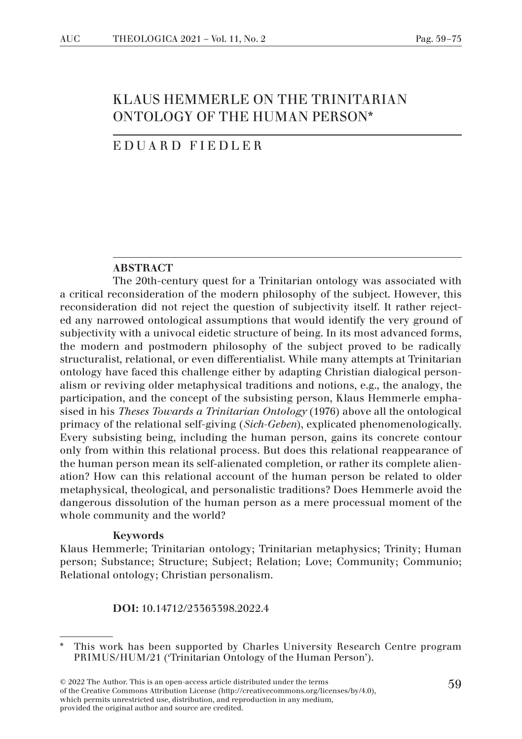# KLAUS HEMMERLE ON THE TRINITARIAN ONTOLOGY OF THE HUMAN PERSON\*

### EDUARD FIEDLER

#### ABSTRACT

The 20th-century quest for a Trinitarian ontology was associated with a critical reconsideration of the modern philosophy of the subject. However, this reconsideration did not reject the question of subjectivity itself. It rather rejected any narrowed ontological assumptions that would identify the very ground of subjectivity with a univocal eidetic structure of being. In its most advanced forms, the modern and postmodern philosophy of the subject proved to be radically structuralist, relational, or even differentialist. While many attempts at Trinitarian ontology have faced this challenge either by adapting Christian dialogical personalism or reviving older metaphysical traditions and notions, e.g., the analogy, the participation, and the concept of the subsisting person, Klaus Hemmerle emphasised in his *Theses Towards a Trinitarian Ontology* (1976) above all the ontological primacy of the relational self-giving (*Sich-Geben*), explicated phenomenologically. Every subsisting being, including the human person, gains its concrete contour only from within this relational process. But does this relational reappearance of the human person mean its self-alienated completion, or rather its complete alienation? How can this relational account of the human person be related to older metaphysical, theological, and personalistic traditions? Does Hemmerle avoid the dangerous dissolution of the human person as a mere processual moment of the whole community and the world?

#### Keywords

Klaus Hemmerle; Trinitarian ontology; Trinitarian metaphysics; Trinity; Human person; Substance; Structure; Subject; Relation; Love; Community; Communio; Relational ontology; Christian personalism.

DOI: 10.14712/23363398.2022.4

<sup>\*</sup> This work has been supported by Charles University Research Centre program PRIMUS/HUM/21 ('Trinitarian Ontology of the Human Person').

<sup>59</sup> © 2022 The Author. This is an open-access article distributed under the terms of the Creative Commons Attribution License (http://creativecommons.org/licenses/by/4.0), which permits unrestricted use, distribution, and reproduction in any medium, provided the original author and source are credited.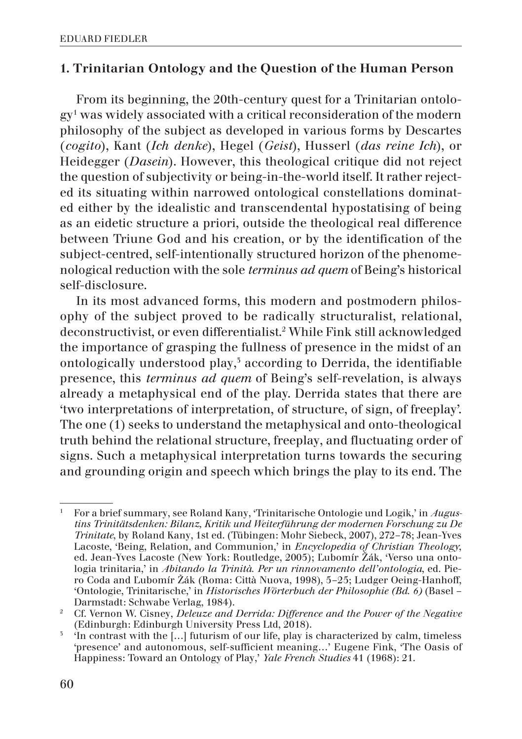### 1. Trinitarian Ontology and the Question of the Human Person

From its beginning, the 20th-century quest for a Trinitarian ontology1 was widely associated with a critical reconsideration of the modern philosophy of the subject as developed in various forms by Descartes (*cogito*), Kant (*Ich denke*), Hegel (*Geist*), Husserl (*das reine Ich*), or Heidegger (*Dasein*). However, this theological critique did not reject the question of subjectivity or being-in-the-world itself. It rather rejected its situating within narrowed ontological constellations dominated either by the idealistic and transcendental hypostatising of being as an eidetic structure a priori, outside the theological real difference between Triune God and his creation, or by the identification of the subject-centred, self-intentionally structured horizon of the phenomenological reduction with the sole *terminus ad quem* of Being's historical self-disclosure.

In its most advanced forms, this modern and postmodern philosophy of the subject proved to be radically structuralist, relational, deconstructivist, or even differentialist.2 While Fink still acknowledged the importance of grasping the fullness of presence in the midst of an ontologically understood play,<sup>5</sup> according to Derrida, the identifiable presence, this *terminus ad quem* of Being's self-revelation, is always already a metaphysical end of the play. Derrida states that there are 'two interpretations of interpretation, of structure, of sign, of freeplay'. The one (1) seeks to understand the metaphysical and onto-theological truth behind the relational structure, freeplay, and fluctuating order of signs. Such a metaphysical interpretation turns towards the securing and grounding origin and speech which brings the play to its end. The

<sup>1</sup> For a brief summary, see Roland Kany, 'Trinitarische Ontologie und Logik,' in *Augustins Trinitätsdenken: Bilanz, Kritik und Weiterführung der modernen Forschung zu De Trinitate*, by Roland Kany, 1st ed. (Tübingen: Mohr Siebeck, 2007), 272–78; Jean-Yves Lacoste, 'Being, Relation, and Communion,' in *Encyclopedia of Christian Theology*, ed. Jean-Yves Lacoste (New York: Routledge, 2005); Ľubomír Žák, 'Verso una ontologia trinitaria,' in *Abitando la Trinità. Per un rinnovamento dell'ontologia*, ed. Piero Coda and Ľubomír Žák (Roma: Città Nuova, 1998), 5–25; Ludger Oeing-Hanhoff, 'Ontologie, Trinitarische,' in *Historisches Wörterbuch der Philosophie (Bd. 6)* (Basel – Darmstadt: Schwabe Verlag, 1984).

<sup>2</sup> Cf. Vernon W. Cisney, *Deleuze and Derrida: Difference and the Power of the Negative* (Edinburgh: Edinburgh University Press Ltd, 2018).

 $\frac{3}{10}$  The contrast with the [...] futurism of our life, play is characterized by calm, timeless 'presence' and autonomous, self-sufficient meaning…' Eugene Fink, 'The Oasis of Happiness: Toward an Ontology of Play,' *Yale French Studies* 41 (1968): 21.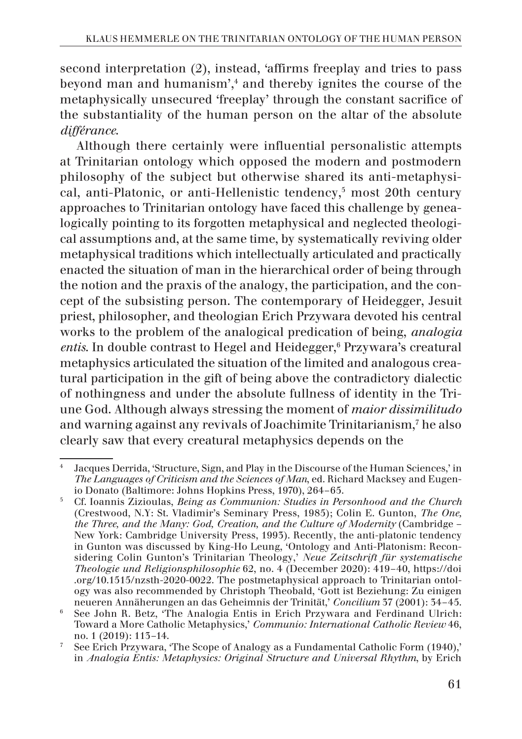second interpretation (2), instead, 'affirms freeplay and tries to pass beyond man and humanism',4 and thereby ignites the course of the metaphysically unsecured 'freeplay' through the constant sacrifice of the substantiality of the human person on the altar of the absolute *différance*.

Although there certainly were influential personalistic attempts at Trinitarian ontology which opposed the modern and postmodern philosophy of the subject but otherwise shared its anti-metaphysical, anti-Platonic, or anti-Hellenistic tendency,<sup>5</sup> most 20th century approaches to Trinitarian ontology have faced this challenge by genealogically pointing to its forgotten metaphysical and neglected theological assumptions and, at the same time, by systematically reviving older metaphysical traditions which intellectually articulated and practically enacted the situation of man in the hierarchical order of being through the notion and the praxis of the analogy, the participation, and the concept of the subsisting person. The contemporary of Heidegger, Jesuit priest, philosopher, and theologian Erich Przywara devoted his central works to the problem of the analogical predication of being, *analogia*  entis. In double contrast to Hegel and Heidegger,<sup>6</sup> Przywara's creatural metaphysics articulated the situation of the limited and analogous creatural participation in the gift of being above the contradictory dialectic of nothingness and under the absolute fullness of identity in the Triune God. Although always stressing the moment of *maior dissimilitudo* and warning against any revivals of Joachimite Trinitarianism,7 he also clearly saw that every creatural metaphysics depends on the

<sup>4</sup> Jacques Derrida, 'Structure, Sign, and Play in the Discourse of the Human Sciences,' in *The Languages of Criticism and the Sciences of Man*, ed. Richard Macksey and Eugenio Donato (Baltimore: Johns Hopkins Press, 1970), 264–65.

<sup>5</sup> Cf. Ioannis Zizioulas, *Being as Communion: Studies in Personhood and the Church* (Crestwood, N.Y: St. Vladimir's Seminary Press, 1985); Colin E. Gunton, *The One, the Three, and the Many: God, Creation, and the Culture of Modernity* (Cambridge – New York: Cambridge University Press, 1993). Recently, the anti-platonic tendency in Gunton was discussed by King-Ho Leung, 'Ontology and Anti-Platonism: Reconsidering Colin Gunton's Trinitarian Theology,' *Neue Zeitschrift für systematische Theologie und Religionsphilosophie* 62, no. 4 (December 2020): 419–40, https://doi .org/10.1515/nzsth-2020-0022. The postmetaphysical approach to Trinitarian ontology was also recommended by Christoph Theobald, 'Gott ist Beziehung: Zu einigen neueren Annäherungen an das Geheimnis der Trinität,' *Concilium* 37 (2001): 34–45.

<sup>6</sup> See John R. Betz, 'The Analogia Entis in Erich Przywara and Ferdinand Ulrich: Toward a More Catholic Metaphysics,' *Communio: International Catholic Review* 46, no. 1 (2019): 113–14.

<sup>7</sup> See Erich Przywara, 'The Scope of Analogy as a Fundamental Catholic Form (1940),' in *Analogia Entis: Metaphysics: Original Structure and Universal Rhythm*, by Erich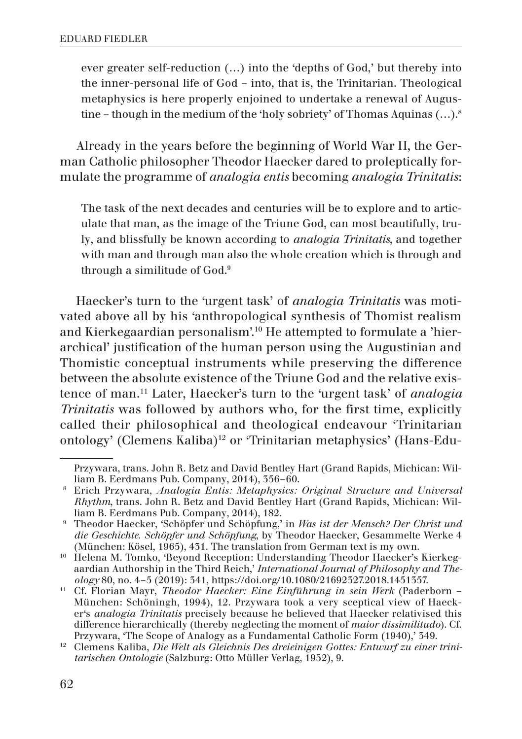ever greater self-reduction (…) into the 'depths of God,' but thereby into the inner-personal life of God – into, that is, the Trinitarian. Theological metaphysics is here properly enjoined to undertake a renewal of Augustine – though in the medium of the 'holy sobriety' of Thomas Aquinas  $(...)$ <sup>8</sup>

Already in the years before the beginning of World War II, the German Catholic philosopher Theodor Haecker dared to proleptically formulate the programme of *analogia entis* becoming *analogia Trinitatis*:

The task of the next decades and centuries will be to explore and to articulate that man, as the image of the Triune God, can most beautifully, truly, and blissfully be known according to *analogia Trinitatis*, and together with man and through man also the whole creation which is through and through a similitude of God.9

Haecker's turn to the 'urgent task' of *analogia Trinitatis* was motivated above all by his 'anthropological synthesis of Thomist realism and Kierkegaardian personalism'.10 He attempted to formulate a 'hierarchical' justification of the human person using the Augustinian and Thomistic conceptual instruments while preserving the difference between the absolute existence of the Triune God and the relative existence of man.11 Later, Haecker's turn to the 'urgent task' of *analogia Trinitatis* was followed by authors who, for the first time, explicitly called their philosophical and theological endeavour 'Trinitarian ontology' (Clemens Kaliba)12 or 'Trinitarian metaphysics' (Hans-Edu-

Przywara, trans. John R. Betz and David Bentley Hart (Grand Rapids, Michican: Wil-

liam B. Eerdmans Pub. Company, 2014), 356–60. 8 Erich Przywara, *Analogia Entis: Metaphysics: Original Structure and Universal Rhythm*, trans. John R. Betz and David Bentley Hart (Grand Rapids, Michican: William B. Eerdmans Pub. Company, 2014), 182.

<sup>9</sup> Theodor Haecker, 'Schöpfer und Schöpfung,' in *Was ist der Mensch? Der Christ und die Geschichte. Schöpfer und Schöpfung*, by Theodor Haecker, Gesammelte Werke 4 (München: Kösel, 1965), 431. The translation from German text is my own.

<sup>&</sup>lt;sup>10</sup> Helena M. Tomko, 'Beyond Reception: Understanding Theodor Haecker's Kierkegaardian Authorship in the Third Reich,' *International Journal of Philosophy and Theology* 80, no. 4–5 (2019): 341, https://doi.org/10.1080/21692327.2018.1451357.

<sup>11</sup> Cf. Florian Mayr, *Theodor Haecker: Eine Einführung in sein Werk* (Paderborn – München: Schöningh, 1994), 12. Przywara took a very sceptical view of Haecker's *analogia Trinitatis* precisely because he believed that Haecker relativised this difference hierarchically (thereby neglecting the moment of *maior dissimilitudo*). Cf. Przywara, 'The Scope of Analogy as a Fundamental Catholic Form (1940),' 349.

<sup>12</sup> Clemens Kaliba, *Die Welt als Gleichnis Des dreieinigen Gottes: Entwurf zu einer trinitarischen Ontologie* (Salzburg: Otto Müller Verlag, 1952), 9.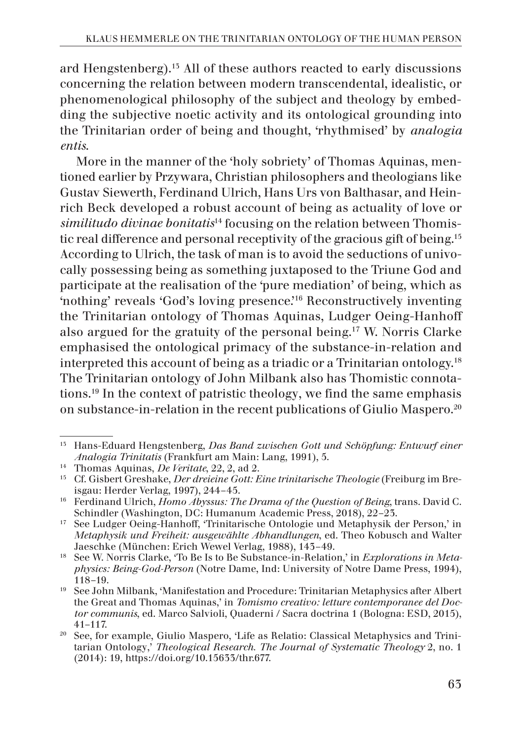ard Hengstenberg).13 All of these authors reacted to early discussions concerning the relation between modern transcendental, idealistic, or phenomenological philosophy of the subject and theology by embedding the subjective noetic activity and its ontological grounding into the Trinitarian order of being and thought, 'rhythmised' by *analogia entis*.

More in the manner of the 'holy sobriety' of Thomas Aquinas, mentioned earlier by Przywara, Christian philosophers and theologians like Gustav Siewerth, Ferdinand Ulrich, Hans Urs von Balthasar, and Heinrich Beck developed a robust account of being as actuality of love or *similitudo divinae bonitatis*14 focusing on the relation between Thomistic real difference and personal receptivity of the gracious gift of being.15 According to Ulrich, the task of man is to avoid the seductions of univocally possessing being as something juxtaposed to the Triune God and participate at the realisation of the 'pure mediation' of being, which as 'nothing' reveals 'God's loving presence.'16 Reconstructively inventing the Trinitarian ontology of Thomas Aquinas, Ludger Oeing-Hanhoff also argued for the gratuity of the personal being.17 W. Norris Clarke emphasised the ontological primacy of the substance-in-relation and interpreted this account of being as a triadic or a Trinitarian ontology.18 The Trinitarian ontology of John Milbank also has Thomistic connotations.19 In the context of patristic theology, we find the same emphasis on substance-in-relation in the recent publications of Giulio Maspero.20

<sup>13</sup> Hans-Eduard Hengstenberg, *Das Band zwischen Gott und Schöpfung: Entwurf einer Analogia Trinitatis* (Frankfurt am Main: Lang, 1991), 5.

<sup>14</sup> Thomas Aquinas, *De Veritate*, 22, 2, ad 2.

<sup>15</sup> Cf. Gisbert Greshake, *Der dreieine Gott: Eine trinitarische Theologie* (Freiburg im Breisgau: Herder Verlag, 1997), 244–45.

<sup>16</sup> Ferdinand Ulrich, *Homo Abyssus: The Drama of the Question of Being*, trans. David C. Schindler (Washington, DC: Humanum Academic Press, 2018), 22–23.

<sup>17</sup> See Ludger Oeing-Hanhoff, 'Trinitarische Ontologie und Metaphysik der Person,' in *Metaphysik und Freiheit: ausgewählte Abhandlungen*, ed. Theo Kobusch and Walter Jaeschke (München: Erich Wewel Verlag, 1988), 143–49.

<sup>18</sup> See W. Norris Clarke, 'To Be Is to Be Substance-in-Relation,' in *Explorations in Metaphysics: Being-God-Person* (Notre Dame, Ind: University of Notre Dame Press, 1994), 118–19.

<sup>19</sup> See John Milbank, 'Manifestation and Procedure: Trinitarian Metaphysics after Albert the Great and Thomas Aquinas,' in *Tomismo creativo: letture contemporanee del Doctor communis*, ed. Marco Salvioli, Quaderni / Sacra doctrina 1 (Bologna: ESD, 2015), 41–117.

<sup>20</sup> See, for example, Giulio Maspero, 'Life as Relatio: Classical Metaphysics and Trinitarian Ontology,' *Theological Research. The Journal of Systematic Theology* 2, no. 1 (2014): 19, https://doi.org/10.15633/thr.677.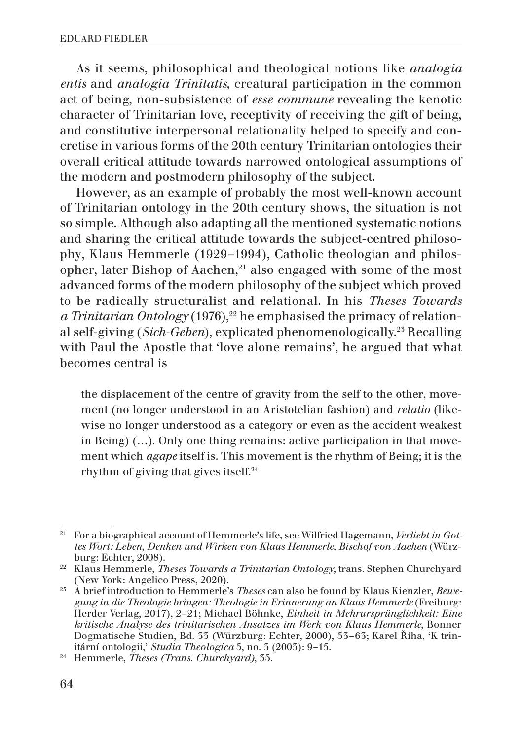As it seems, philosophical and theological notions like *analogia entis* and *analogia Trinitatis*, creatural participation in the common act of being, non-subsistence of *esse commune* revealing the kenotic character of Trinitarian love, receptivity of receiving the gift of being, and constitutive interpersonal relationality helped to specify and concretise in various forms of the 20th century Trinitarian ontologies their overall critical attitude towards narrowed ontological assumptions of the modern and postmodern philosophy of the subject.

However, as an example of probably the most well-known account of Trinitarian ontology in the 20th century shows, the situation is not so simple. Although also adapting all the mentioned systematic notions and sharing the critical attitude towards the subject-centred philosophy, Klaus Hemmerle (1929–1994), Catholic theologian and philosopher, later Bishop of Aachen, $21$  also engaged with some of the most advanced forms of the modern philosophy of the subject which proved to be radically structuralist and relational. In his *Theses Towards a Trinitarian Ontology* (1976),<sup>22</sup> he emphasised the primacy of relational self-giving (*Sich-Geben*), explicated phenomenologically.23 Recalling with Paul the Apostle that 'love alone remains', he argued that what becomes central is

the displacement of the centre of gravity from the self to the other, movement (no longer understood in an Aristotelian fashion) and *relatio* (likewise no longer understood as a category or even as the accident weakest in Being) (…). Only one thing remains: active participation in that movement which *agape* itself is. This movement is the rhythm of Being; it is the rhythm of giving that gives itself.24

<sup>21</sup> For a biographical account of Hemmerle's life, see Wilfried Hagemann, *Verliebt in Gottes Wort: Leben, Denken und Wirken von Klaus Hemmerle, Bischof von Aachen* (Würzburg: Echter, 2008).

<sup>22</sup> Klaus Hemmerle, *Theses Towards a Trinitarian Ontology*, trans. Stephen Churchyard (New York: Angelico Press, 2020).

<sup>23</sup> A brief introduction to Hemmerle's *Theses* can also be found by Klaus Kienzler, *Bewegung in die Theologie bringen: Theologie in Erinnerung an Klaus Hemmerle* (Freiburg: Herder Verlag, 2017), 2–21; Michael Böhnke, *Einheit in Mehrursprünglichkeit: Eine kritische Analyse des trinitarischen Ansatzes im Werk von Klaus Hemmerle*, Bonner Dogmatische Studien, Bd. 33 (Würzburg: Echter, 2000), 53-63; Karel Říha, 'K trin-<br>itární ontologii,' *Studia Theologica* 5, no. 3 (2003): 9-15.

<sup>&</sup>lt;sup>24</sup> Hemmerle, *Theses (Trans. Churchyard)*, 35.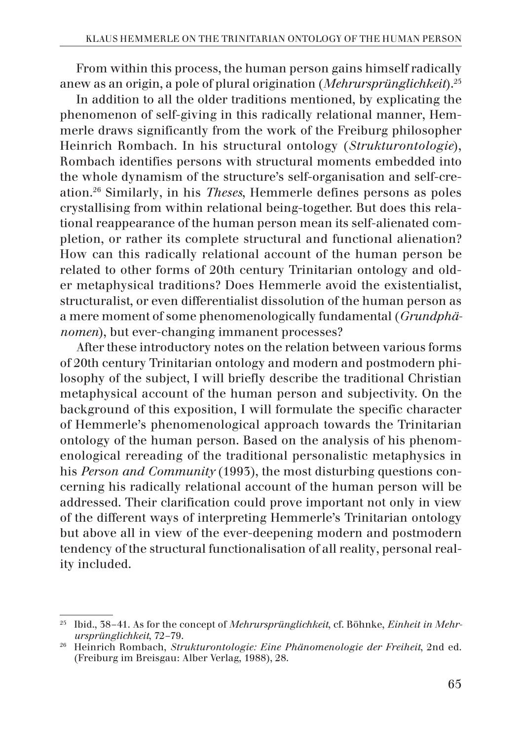From within this process, the human person gains himself radically anew as an origin, a pole of plural origination (*Mehrursprünglichkeit*).25

In addition to all the older traditions mentioned, by explicating the phenomenon of self-giving in this radically relational manner, Hemmerle draws significantly from the work of the Freiburg philosopher Heinrich Rombach. In his structural ontology (*Strukturontologie*), Rombach identifies persons with structural moments embedded into the whole dynamism of the structure's self-organisation and self-creation.26 Similarly, in his *Theses*, Hemmerle defines persons as poles crystallising from within relational being-together. But does this relational reappearance of the human person mean its self-alienated completion, or rather its complete structural and functional alienation? How can this radically relational account of the human person be related to other forms of 20th century Trinitarian ontology and older metaphysical traditions? Does Hemmerle avoid the existentialist, structuralist, or even differentialist dissolution of the human person as a mere moment of some phenomenologically fundamental (*Grundphänomen*), but ever-changing immanent processes?

After these introductory notes on the relation between various forms of 20th century Trinitarian ontology and modern and postmodern philosophy of the subject, I will briefly describe the traditional Christian metaphysical account of the human person and subjectivity. On the background of this exposition, I will formulate the specific character of Hemmerle's phenomenological approach towards the Trinitarian ontology of the human person. Based on the analysis of his phenomenological rereading of the traditional personalistic metaphysics in his *Person and Community* (1993), the most disturbing questions concerning his radically relational account of the human person will be addressed. Their clarification could prove important not only in view of the different ways of interpreting Hemmerle's Trinitarian ontology but above all in view of the ever-deepening modern and postmodern tendency of the structural functionalisation of all reality, personal reality included.

<sup>25</sup> Ibid., 38–41. As for the concept of *Mehrursprünglichkeit*, cf. Böhnke, *Einheit in Mehrursprünglichkeit*, 72–79.

<sup>26</sup> Heinrich Rombach, *Strukturontologie: Eine Phänomenologie der Freiheit*, 2nd ed. (Freiburg im Breisgau: Alber Verlag, 1988), 28.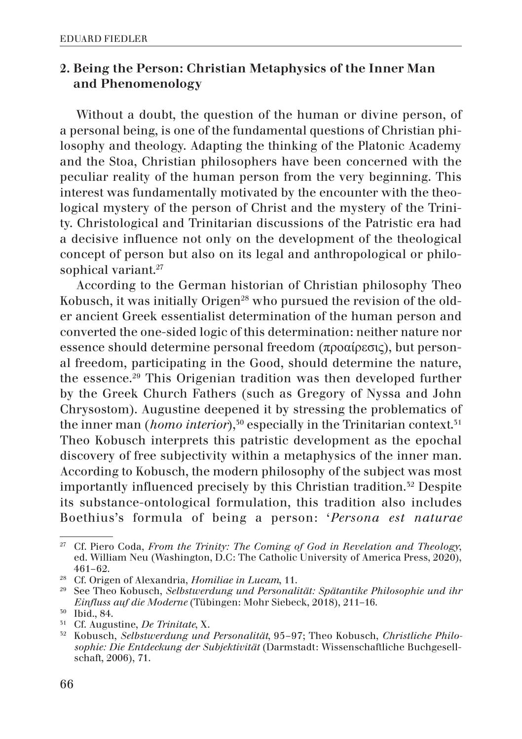## 2. Being the Person: Christian Metaphysics of the Inner Man and Phenomenology

Without a doubt, the question of the human or divine person, of a personal being, is one of the fundamental questions of Christian philosophy and theology. Adapting the thinking of the Platonic Academy and the Stoa, Christian philosophers have been concerned with the peculiar reality of the human person from the very beginning. This interest was fundamentally motivated by the encounter with the theological mystery of the person of Christ and the mystery of the Trinity. Christological and Trinitarian discussions of the Patristic era had a decisive influence not only on the development of the theological concept of person but also on its legal and anthropological or philosophical variant.<sup>27</sup>

According to the German historian of Christian philosophy Theo Kobusch, it was initially Origen<sup>28</sup> who pursued the revision of the older ancient Greek essentialist determination of the human person and converted the one-sided logic of this determination: neither nature nor essence should determine personal freedom (προαίρεσις), but personal freedom, participating in the Good, should determine the nature, the essence.29 This Origenian tradition was then developed further by the Greek Church Fathers (such as Gregory of Nyssa and John Chrysostom). Augustine deepened it by stressing the problematics of the inner man (*homo interior*),<sup>30</sup> especially in the Trinitarian context.<sup>31</sup> Theo Kobusch interprets this patristic development as the epochal discovery of free subjectivity within a metaphysics of the inner man. According to Kobusch, the modern philosophy of the subject was most importantly influenced precisely by this Christian tradition.<sup>52</sup> Despite its substance-ontological formulation, this tradition also includes Boethius's formula of being a person: '*Persona est naturae* 

<sup>27</sup> Cf. Piero Coda, *From the Trinity: The Coming of God in Revelation and Theology*, ed. William Neu (Washington, D.C: The Catholic University of America Press, 2020), 461–62.

<sup>28</sup> Cf. Origen of Alexandria, *Homiliae in Lucam*, 11.

<sup>29</sup> See Theo Kobusch, *Selbstwerdung und Personalität: Spätantike Philosophie und ihr Einfluss auf die Moderne* (Tübingen: Mohr Siebeck, 2018), 211–16.

<sup>30</sup> Ibid., 84.

<sup>&</sup>lt;sup>51</sup> Cf. Augustine, *De Trinitate*, X.<br><sup>52</sup> Kobusch, *Selbstwerdung und* 

<sup>32</sup> Kobusch, *Selbstwerdung und Personalität*, 95–97; Theo Kobusch, *Christliche Philosophie: Die Entdeckung der Subjektivität* (Darmstadt: Wissenschaftliche Buchgesellschaft, 2006), 71.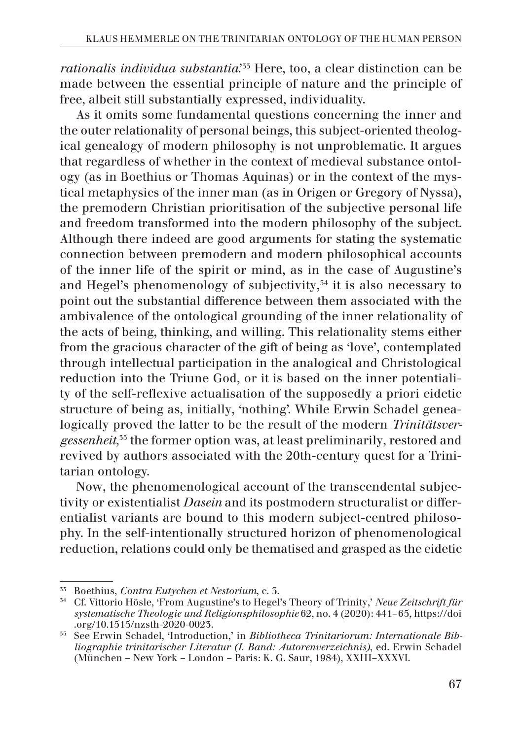*rationalis individua substantia*.<sup>33</sup> Here, too, a clear distinction can be made between the essential principle of nature and the principle of free, albeit still substantially expressed, individuality.

As it omits some fundamental questions concerning the inner and the outer relationality of personal beings, this subject-oriented theological genealogy of modern philosophy is not unproblematic. It argues that regardless of whether in the context of medieval substance ontology (as in Boethius or Thomas Aquinas) or in the context of the mystical metaphysics of the inner man (as in Origen or Gregory of Nyssa), the premodern Christian prioritisation of the subjective personal life and freedom transformed into the modern philosophy of the subject. Although there indeed are good arguments for stating the systematic connection between premodern and modern philosophical accounts of the inner life of the spirit or mind, as in the case of Augustine's and Hegel's phenomenology of subjectivity,<sup>34</sup> it is also necessary to point out the substantial difference between them associated with the ambivalence of the ontological grounding of the inner relationality of the acts of being, thinking, and willing. This relationality stems either from the gracious character of the gift of being as 'love', contemplated through intellectual participation in the analogical and Christological reduction into the Triune God, or it is based on the inner potentiality of the self-reflexive actualisation of the supposedly a priori eidetic structure of being as, initially, 'nothing'. While Erwin Schadel genealogically proved the latter to be the result of the modern *Trinitätsvergessenheit*, 35 the former option was, at least preliminarily, restored and revived by authors associated with the 20th-century quest for a Trinitarian ontology.

Now, the phenomenological account of the transcendental subjectivity or existentialist *Dasein* and its postmodern structuralist or differentialist variants are bound to this modern subject-centred philosophy. In the self-intentionally structured horizon of phenomenological reduction, relations could only be thematised and grasped as the eidetic

<sup>33</sup> Boethius, *Contra Eutychen et Nestorium*, c. 3.

<sup>34</sup> Cf. Vittorio Hösle, 'From Augustine's to Hegel's Theory of Trinity,' *Neue Zeitschrift für systematische Theologie und Religionsphilosophie* 62, no. 4 (2020): 441–65, https://doi .org/10.1515/nzsth-2020-0023.

<sup>35</sup> See Erwin Schadel, 'Introduction,' in *Bibliotheca Trinitariorum: Internationale Bibliographie trinitarischer Literatur (I. Band: Autorenverzeichnis)*, ed. Erwin Schadel (München – New York – London – Paris: K. G. Saur, 1984), XXIII–XXXVI.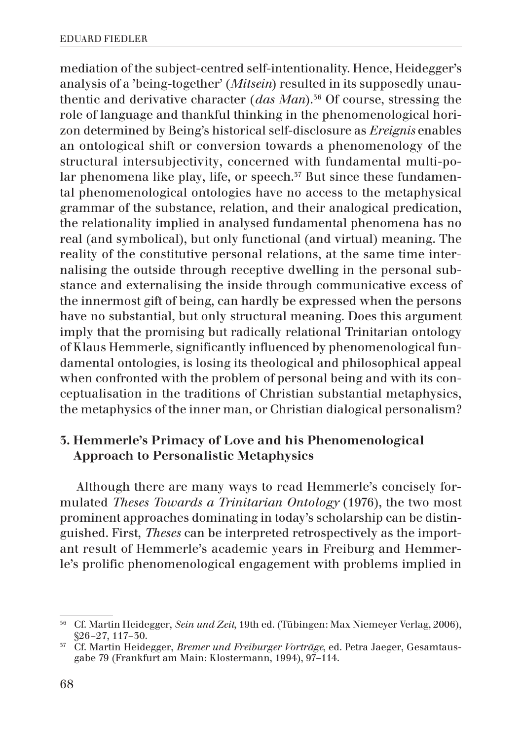mediation of the subject-centred self-intentionality. Hence, Heidegger's analysis of a 'being-together' (*Mitsein*) resulted in its supposedly unauthentic and derivative character (*das Man*).<sup>36</sup> Of course, stressing the role of language and thankful thinking in the phenomenological horizon determined by Being's historical self-disclosure as *Ereignis* enables an ontological shift or conversion towards a phenomenology of the structural intersubjectivity, concerned with fundamental multi-polar phenomena like play, life, or speech.<sup>37</sup> But since these fundamental phenomenological ontologies have no access to the metaphysical grammar of the substance, relation, and their analogical predication, the relationality implied in analysed fundamental phenomena has no real (and symbolical), but only functional (and virtual) meaning. The reality of the constitutive personal relations, at the same time internalising the outside through receptive dwelling in the personal substance and externalising the inside through communicative excess of the innermost gift of being, can hardly be expressed when the persons have no substantial, but only structural meaning. Does this argument imply that the promising but radically relational Trinitarian ontology of Klaus Hemmerle, significantly influenced by phenomenological fundamental ontologies, is losing its theological and philosophical appeal when confronted with the problem of personal being and with its conceptualisation in the traditions of Christian substantial metaphysics, the metaphysics of the inner man, or Christian dialogical personalism?

## 3. Hemmerle's Primacy of Love and his Phenomenological Approach to Personalistic Metaphysics

Although there are many ways to read Hemmerle's concisely formulated *Theses Towards a Trinitarian Ontology* (1976), the two most prominent approaches dominating in today's scholarship can be distinguished. First, *Theses* can be interpreted retrospectively as the important result of Hemmerle's academic years in Freiburg and Hemmerle's prolific phenomenological engagement with problems implied in

<sup>36</sup> Cf. Martin Heidegger, *Sein und Zeit*, 19th ed. (Tübingen: Max Niemeyer Verlag, 2006), §26–27, 117–30.

<sup>37</sup> Cf. Martin Heidegger, *Bremer und Freiburger Vorträge*, ed. Petra Jaeger, Gesamtausgabe 79 (Frankfurt am Main: Klostermann, 1994), 97–114.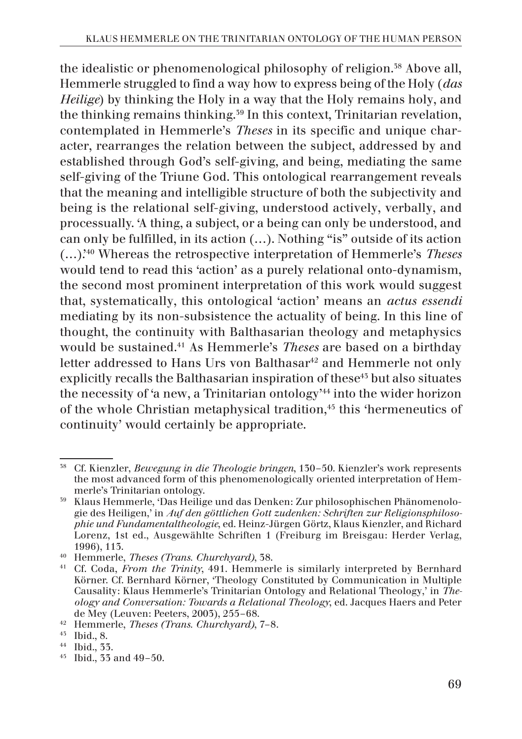the idealistic or phenomenological philosophy of religion.<sup>38</sup> Above all, Hemmerle struggled to find a way how to express being of the Holy (*das Heilige*) by thinking the Holy in a way that the Holy remains holy, and the thinking remains thinking.39 In this context, Trinitarian revelation, contemplated in Hemmerle's *Theses* in its specific and unique character, rearranges the relation between the subject, addressed by and established through God's self-giving, and being, mediating the same self-giving of the Triune God. This ontological rearrangement reveals that the meaning and intelligible structure of both the subjectivity and being is the relational self-giving, understood actively, verbally, and processually. 'A thing, a subject, or a being can only be understood, and can only be fulfilled, in its action (…). Nothing "is" outside of its action (…).'40 Whereas the retrospective interpretation of Hemmerle's *Theses* would tend to read this 'action' as a purely relational onto-dynamism, the second most prominent interpretation of this work would suggest that, systematically, this ontological 'action' means an *actus essendi* mediating by its non-subsistence the actuality of being. In this line of thought, the continuity with Balthasarian theology and metaphysics would be sustained.41 As Hemmerle's *Theses* are based on a birthday letter addressed to Hans Urs von Balthasar<sup>42</sup> and Hemmerle not only explicitly recalls the Balthasarian inspiration of these<sup>45</sup> but also situates the necessity of 'a new, a Trinitarian ontology'44 into the wider horizon of the whole Christian metaphysical tradition.<sup>45</sup> this 'hermeneutics of continuity' would certainly be appropriate.

<sup>38</sup> Cf. Kienzler, *Bewegung in die Theologie bringen*, 130–50. Kienzler's work represents the most advanced form of this phenomenologically oriented interpretation of Hemmerle's Trinitarian ontology.

<sup>39</sup> Klaus Hemmerle, 'Das Heilige und das Denken: Zur philosophischen Phänomenologie des Heiligen,' in *Auf den göttlichen Gott zudenken: Schriften zur Religionsphilosophie und Fundamentaltheologie*, ed. Heinz-Jürgen Görtz, Klaus Kienzler, and Richard Lorenz, 1st ed., Ausgewählte Schriften 1 (Freiburg im Breisgau: Herder Verlag, 1996), 113.

<sup>40</sup> Hemmerle, *Theses (Trans. Churchyard)*, 38.

<sup>41</sup> Cf. Coda, *From the Trinity*, 491. Hemmerle is similarly interpreted by Bernhard Körner. Cf. Bernhard Körner, 'Theology Constituted by Communication in Multiple Causality: Klaus Hemmerle's Trinitarian Ontology and Relational Theology,' in *Theology and Conversation: Towards a Relational Theology*, ed. Jacques Haers and Peter de Mey (Leuven: Peeters, 2003), 255–68.

<sup>42</sup> Hemmerle, *Theses (Trans. Churchyard)*, 7–8.

<sup>43</sup> Ibid., 8.

<sup>44</sup> Ibid., 33.

<sup>45</sup> Ibid., 33 and 49–50.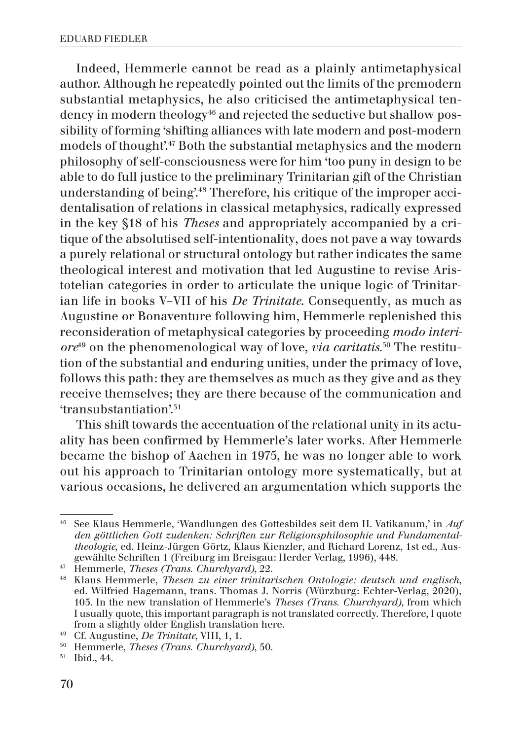Indeed, Hemmerle cannot be read as a plainly antimetaphysical author. Although he repeatedly pointed out the limits of the premodern substantial metaphysics, he also criticised the antimetaphysical tendency in modern theology<sup>46</sup> and rejected the seductive but shallow possibility of forming 'shifting alliances with late modern and post-modern models of thought'.47 Both the substantial metaphysics and the modern philosophy of self-consciousness were for him 'too puny in design to be able to do full justice to the preliminary Trinitarian gift of the Christian understanding of being'.48 Therefore, his critique of the improper accidentalisation of relations in classical metaphysics, radically expressed in the key §18 of his *Theses* and appropriately accompanied by a critique of the absolutised self-intentionality, does not pave a way towards a purely relational or structural ontology but rather indicates the same theological interest and motivation that led Augustine to revise Aristotelian categories in order to articulate the unique logic of Trinitarian life in books V–VII of his *De Trinitate*. Consequently, as much as Augustine or Bonaventure following him, Hemmerle replenished this reconsideration of metaphysical categories by proceeding *modo interiore*49 on the phenomenological way of love, *via caritatis*. 50 The restitution of the substantial and enduring unities, under the primacy of love, follows this path: they are themselves as much as they give and as they receive themselves; they are there because of the communication and 'transubstantiation'.51

This shift towards the accentuation of the relational unity in its actuality has been confirmed by Hemmerle's later works. After Hemmerle became the bishop of Aachen in 1975, he was no longer able to work out his approach to Trinitarian ontology more systematically, but at various occasions, he delivered an argumentation which supports the

<sup>46</sup> See Klaus Hemmerle, 'Wandlungen des Gottesbildes seit dem II. Vatikanum,' in *Auf den göttlichen Gott zudenken: Schriften zur Religionsphilosophie und Fundamentaltheologie*, ed. Heinz-Jürgen Görtz, Klaus Kienzler, and Richard Lorenz, 1st ed., Ausgewählte Schriften 1 (Freiburg im Breisgau: Herder Verlag, 1996), 448.

<sup>47</sup> Hemmerle, *Theses (Trans. Churchyard)*, 22.

<sup>48</sup> Klaus Hemmerle, *Thesen zu einer trinitarischen Ontologie: deutsch und englisch*, ed. Wilfried Hagemann, trans. Thomas J. Norris (Würzburg: Echter-Verlag, 2020), 105. In the new translation of Hemmerle's *Theses (Trans. Churchyard)*, from which I usually quote, this important paragraph is not translated correctly. Therefore, I quote from a slightly older English translation here. 49 Cf. Augustine, *De Trinitate*, VIII, 1, 1.

<sup>50</sup> Hemmerle, *Theses (Trans. Churchyard)*, 50.

<sup>51</sup> Ibid., 44.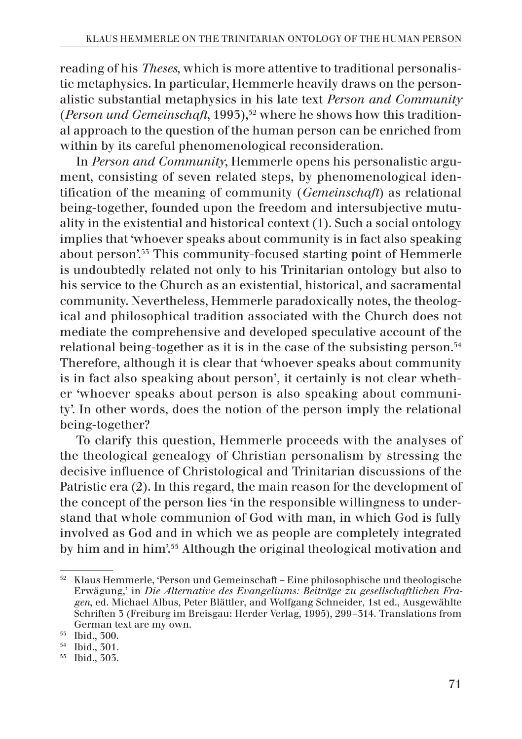reading of his *Theses*, which is more attentive to traditional personalistic metaphysics. In particular, Hemmerle heavily draws on the personalistic substantial metaphysics in his late text *Person and Community* (*Person und Gemeinschaft*, 1993),<sup>52</sup> where he shows how this traditional approach to the question of the human person can be enriched from within by its careful phenomenological reconsideration.

In *Person and Community*, Hemmerle opens his personalistic argument, consisting of seven related steps, by phenomenological identification of the meaning of community (*Gemeinschaft*) as relational being-together, founded upon the freedom and intersubjective mutuality in the existential and historical context (1). Such a social ontology implies that 'whoever speaks about community is in fact also speaking about person'.53 This community-focused starting point of Hemmerle is undoubtedly related not only to his Trinitarian ontology but also to his service to the Church as an existential, historical, and sacramental community. Nevertheless, Hemmerle paradoxically notes, the theological and philosophical tradition associated with the Church does not mediate the comprehensive and developed speculative account of the relational being-together as it is in the case of the subsisting person.54 Therefore, although it is clear that 'whoever speaks about community is in fact also speaking about person', it certainly is not clear whether 'whoever speaks about person is also speaking about community'. In other words, does the notion of the person imply the relational being-together?

To clarify this question, Hemmerle proceeds with the analyses of the theological genealogy of Christian personalism by stressing the decisive influence of Christological and Trinitarian discussions of the Patristic era (2). In this regard, the main reason for the development of the concept of the person lies 'in the responsible willingness to understand that whole communion of God with man, in which God is fully involved as God and in which we as people are completely integrated by him and in him'.55 Although the original theological motivation and

 $52$  Klaus Hemmerle, 'Person und Gemeinschaft – Eine philosophische und theologische Erwägung,' in *Die Alternative des Evangeliums: Beiträge zu gesellschaftlichen Fragen*, ed. Michael Albus, Peter Blättler, and Wolfgang Schneider, 1st ed., Ausgewählte Schriften 3 (Freiburg im Breisgau: Herder Verlag, 1995), 299–314. Translations from German text are my own.

<sup>53</sup> Ibid., 300.

<sup>54</sup> Ibid., 301.

<sup>55</sup> Ibid., 303.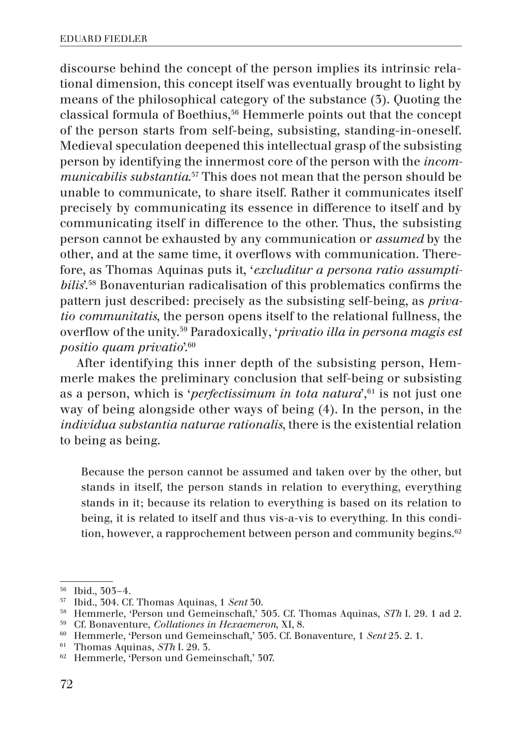discourse behind the concept of the person implies its intrinsic relational dimension, this concept itself was eventually brought to light by means of the philosophical category of the substance (3). Quoting the classical formula of Boethius,<sup>56</sup> Hemmerle points out that the concept of the person starts from self-being, subsisting, standing-in-oneself. Medieval speculation deepened this intellectual grasp of the subsisting person by identifying the innermost core of the person with the *incommunicabilis substantia*. 57 This does not mean that the person should be unable to communicate, to share itself. Rather it communicates itself precisely by communicating its essence in difference to itself and by communicating itself in difference to the other. Thus, the subsisting person cannot be exhausted by any communication or *assumed* by the other, and at the same time, it overflows with communication. Therefore, as Thomas Aquinas puts it, '*excluditur a persona ratio assumptibilis*'.58 Bonaventurian radicalisation of this problematics confirms the pattern just described: precisely as the subsisting self-being, as *privatio communitatis*, the person opens itself to the relational fullness, the overflow of the unity.59 Paradoxically, '*privatio illa in persona magis est positio quam privatio*'.60

After identifying this inner depth of the subsisting person, Hemmerle makes the preliminary conclusion that self-being or subsisting as a person, which is '*perfectissimum in tota natura*',<sup>61</sup> is not just one way of being alongside other ways of being (4). In the person, in the *individua substantia naturae rationalis*, there is the existential relation to being as being.

Because the person cannot be assumed and taken over by the other, but stands in itself, the person stands in relation to everything, everything stands in it; because its relation to everything is based on its relation to being, it is related to itself and thus vis-a-vis to everything. In this condition, however, a rapprochement between person and community begins.<sup>62</sup>

<sup>56</sup> Ibid., 303–4.

<sup>57</sup> Ibid., 304. Cf. Thomas Aquinas, 1 *Sent* 30.

<sup>&</sup>lt;sup>58</sup> Hemmerle, 'Person und Gemeinschaft,' 305. Cf. Thomas Aquinas, *STh* I. 29. 1 ad 2.

<sup>59</sup> Cf. Bonaventure, *Collationes in Hexaemeron*, XI, 8.

<sup>60</sup> Hemmerle, 'Person und Gemeinschaft,' 305. Cf. Bonaventure, 1 *Sent* 25. 2. 1.

<sup>61</sup> Thomas Aquinas, *STh* I. 29. 3.

<sup>62</sup> Hemmerle, 'Person und Gemeinschaft,' 307.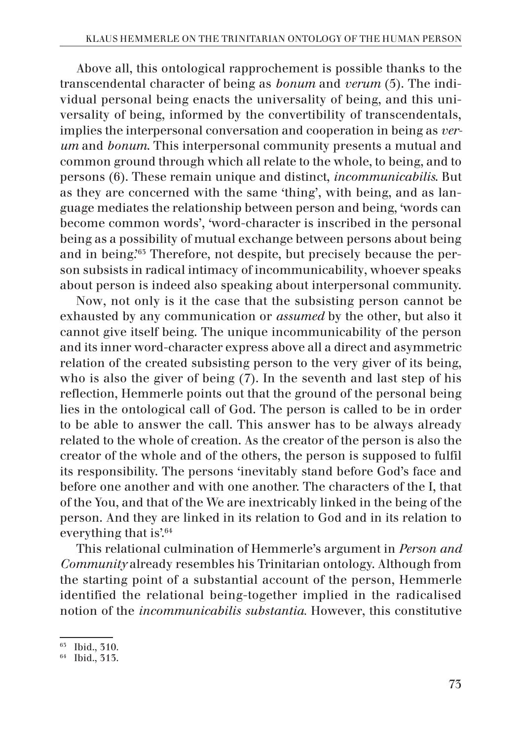Above all, this ontological rapprochement is possible thanks to the transcendental character of being as *bonum* and *verum* (5). The individual personal being enacts the universality of being, and this universality of being, informed by the convertibility of transcendentals, implies the interpersonal conversation and cooperation in being as *verum* and *bonum*. This interpersonal community presents a mutual and common ground through which all relate to the whole, to being, and to persons (6). These remain unique and distinct, *incommunicabilis*. But as they are concerned with the same 'thing', with being, and as language mediates the relationship between person and being, 'words can become common words', 'word-character is inscribed in the personal being as a possibility of mutual exchange between persons about being and in being.'63 Therefore, not despite, but precisely because the person subsists in radical intimacy of incommunicability, whoever speaks about person is indeed also speaking about interpersonal community.

Now, not only is it the case that the subsisting person cannot be exhausted by any communication or *assumed* by the other, but also it cannot give itself being. The unique incommunicability of the person and its inner word-character express above all a direct and asymmetric relation of the created subsisting person to the very giver of its being, who is also the giver of being (7). In the seventh and last step of his reflection, Hemmerle points out that the ground of the personal being lies in the ontological call of God. The person is called to be in order to be able to answer the call. This answer has to be always already related to the whole of creation. As the creator of the person is also the creator of the whole and of the others, the person is supposed to fulfil its responsibility. The persons 'inevitably stand before God's face and before one another and with one another. The characters of the I, that of the You, and that of the We are inextricably linked in the being of the person. And they are linked in its relation to God and in its relation to everything that is'.<sup>64</sup>

This relational culmination of Hemmerle's argument in *Person and Community* already resembles his Trinitarian ontology. Although from the starting point of a substantial account of the person, Hemmerle identified the relational being-together implied in the radicalised notion of the *incommunicabilis substantia.* However, this constitutive

<sup>63</sup> Ibid., 310.

<sup>64</sup> Ibid., 313.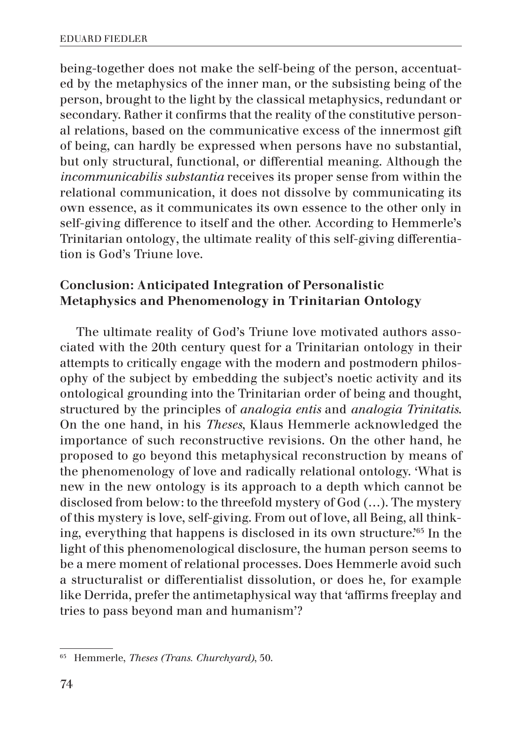being-together does not make the self-being of the person, accentuated by the metaphysics of the inner man, or the subsisting being of the person, brought to the light by the classical metaphysics, redundant or secondary. Rather it confirms that the reality of the constitutive personal relations, based on the communicative excess of the innermost gift of being, can hardly be expressed when persons have no substantial, but only structural, functional, or differential meaning. Although the *incommunicabilis substantia* receives its proper sense from within the relational communication, it does not dissolve by communicating its own essence, as it communicates its own essence to the other only in self-giving difference to itself and the other. According to Hemmerle's Trinitarian ontology, the ultimate reality of this self-giving differentiation is God's Triune love.

# Conclusion: Anticipated Integration of Personalistic Metaphysics and Phenomenology in Trinitarian Ontology

The ultimate reality of God's Triune love motivated authors associated with the 20th century quest for a Trinitarian ontology in their attempts to critically engage with the modern and postmodern philosophy of the subject by embedding the subject's noetic activity and its ontological grounding into the Trinitarian order of being and thought, structured by the principles of *analogia entis* and *analogia Trinitatis*. On the one hand, in his *Theses*, Klaus Hemmerle acknowledged the importance of such reconstructive revisions. On the other hand, he proposed to go beyond this metaphysical reconstruction by means of the phenomenology of love and radically relational ontology. 'What is new in the new ontology is its approach to a depth which cannot be disclosed from below: to the threefold mystery of God (…). The mystery of this mystery is love, self-giving. From out of love, all Being, all thinking, everything that happens is disclosed in its own structure.'65 In the light of this phenomenological disclosure, the human person seems to be a mere moment of relational processes. Does Hemmerle avoid such a structuralist or differentialist dissolution, or does he, for example like Derrida, prefer the antimetaphysical way that 'affirms freeplay and tries to pass beyond man and humanism'?

<sup>65</sup> Hemmerle, *Theses (Trans. Churchyard)*, 50.